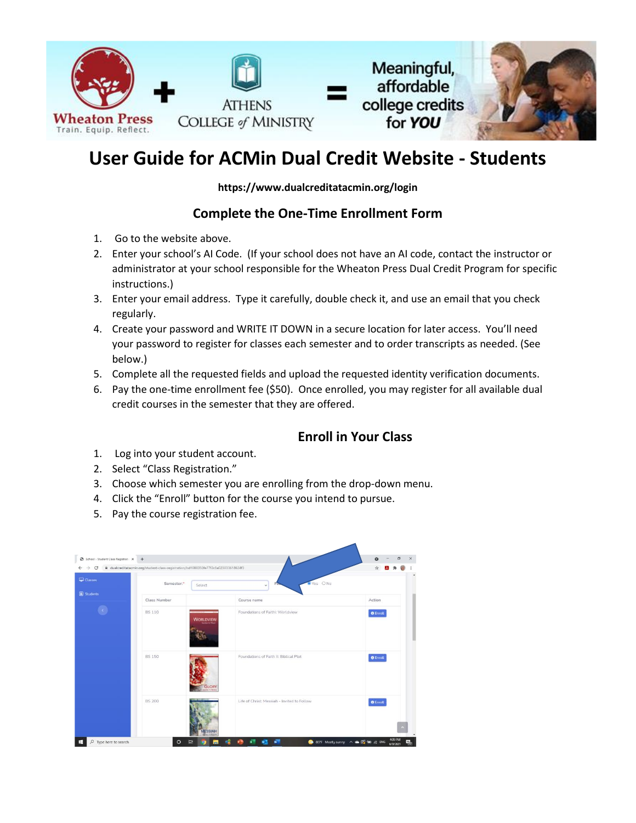

## **User Guide for ACMin Dual Credit Website - Students**

**https://www.dualcreditatacmin.org/login**

## **Complete the One-Time Enrollment Form**

- 1. Go to the website above.
- 2. Enter your school's AI Code. (If your school does not have an AI code, contact the instructor or administrator at your school responsible for the Wheaton Press Dual Credit Program for specific instructions.)
- 3. Enter your email address. Type it carefully, double check it, and use an email that you check regularly.
- 4. Create your password and WRITE IT DOWN in a secure location for later access. You'll need your password to register for classes each semester and to order transcripts as needed. (See below.)
- 5. Complete all the requested fields and upload the requested identity verification documents.
- 6. Pay the one-time enrollment fee (\$50). Once enrolled, you may register for all available dual credit courses in the semester that they are offered.

## **Enroll in Your Class**

- 1. Log into your student account.
- 2. Select "Class Registration."
- 3. Choose which semester you are enrolling from the drop-down menu.
- 4. Click the "Enroll" button for the course you intend to pursue.
- 5. Pay the course registration fee.